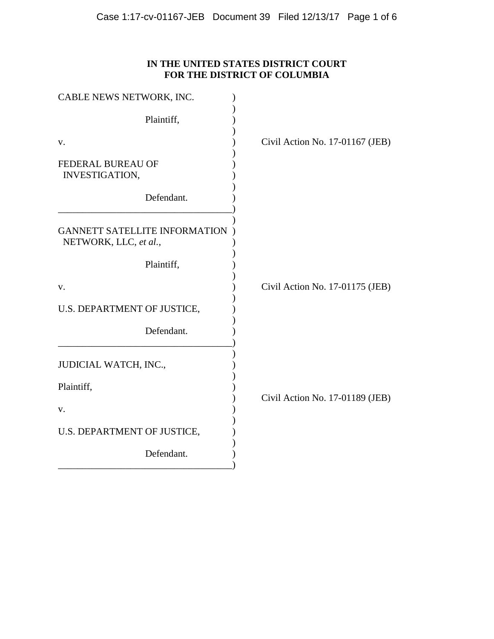# **IN THE UNITED STATES DISTRICT COURT FOR THE DISTRICT OF COLUMBIA**

| Civil Action No. 17-01167 (JEB) |
|---------------------------------|
|                                 |
|                                 |
|                                 |
|                                 |
| Civil Action No. 17-01175 (JEB) |
|                                 |
|                                 |
|                                 |
| Civil Action No. 17-01189 (JEB) |
|                                 |
|                                 |
|                                 |
|                                 |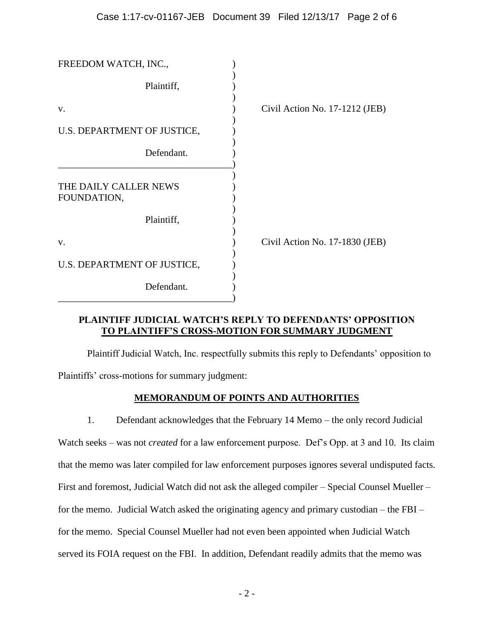| FREEDOM WATCH, INC.,                 |                                  |
|--------------------------------------|----------------------------------|
| Plaintiff,                           |                                  |
| V.                                   | Civil Action No. $17-1212$ (JEB) |
| U.S. DEPARTMENT OF JUSTICE,          |                                  |
| Defendant.                           |                                  |
| THE DAILY CALLER NEWS<br>FOUNDATION, |                                  |
| Plaintiff,                           |                                  |
| V.                                   | Civil Action No. 17-1830 (JEB)   |
| U.S. DEPARTMENT OF JUSTICE,          |                                  |
| Defendant.                           |                                  |

## **PLAINTIFF JUDICIAL WATCH'S REPLY TO DEFENDANTS' OPPOSITION TO PLAINTIFF'S CROSS-MOTION FOR SUMMARY JUDGMENT**

Plaintiff Judicial Watch, Inc. respectfully submits this reply to Defendants' opposition to Plaintiffs' cross-motions for summary judgment:

## **MEMORANDUM OF POINTS AND AUTHORITIES**

1. Defendant acknowledges that the February 14 Memo – the only record Judicial

Watch seeks – was not *created* for a law enforcement purpose. Def's Opp. at 3 and 10. Its claim that the memo was later compiled for law enforcement purposes ignores several undisputed facts. First and foremost, Judicial Watch did not ask the alleged compiler – Special Counsel Mueller – for the memo. Judicial Watch asked the originating agency and primary custodian – the FBI – for the memo. Special Counsel Mueller had not even been appointed when Judicial Watch served its FOIA request on the FBI. In addition, Defendant readily admits that the memo was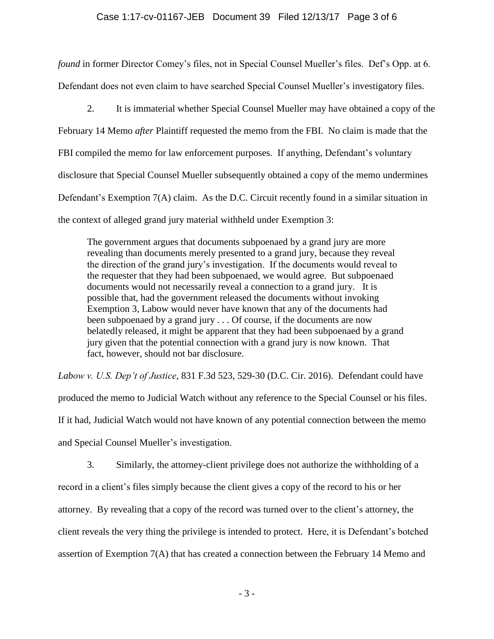### Case 1:17-cv-01167-JEB Document 39 Filed 12/13/17 Page 3 of 6

*found* in former Director Comey's files, not in Special Counsel Mueller's files. Def's Opp. at 6. Defendant does not even claim to have searched Special Counsel Mueller's investigatory files.

2. It is immaterial whether Special Counsel Mueller may have obtained a copy of the February 14 Memo *after* Plaintiff requested the memo from the FBI. No claim is made that the FBI compiled the memo for law enforcement purposes. If anything, Defendant's voluntary disclosure that Special Counsel Mueller subsequently obtained a copy of the memo undermines Defendant's Exemption 7(A) claim. As the D.C. Circuit recently found in a similar situation in the context of alleged grand jury material withheld under Exemption 3:

The government argues that documents subpoenaed by a grand jury are more revealing than documents merely presented to a grand jury, because they reveal the direction of the grand jury's investigation. If the documents would reveal to the requester that they had been subpoenaed, we would agree. But subpoenaed documents would not necessarily reveal a connection to a grand jury. It is possible that, had the government released the documents without invoking Exemption 3, Labow would never have known that any of the documents had been subpoenaed by a grand jury . . . Of course, if the documents are now belatedly released, it might be apparent that they had been subpoenaed by a grand jury given that the potential connection with a grand jury is now known. That fact, however, should not bar disclosure.

*Labow v. U.S. Dep't of Justice*, 831 F.3d 523, 529-30 (D.C. Cir. 2016). Defendant could have produced the memo to Judicial Watch without any reference to the Special Counsel or his files. If it had, Judicial Watch would not have known of any potential connection between the memo and Special Counsel Mueller's investigation.

3. Similarly, the attorney-client privilege does not authorize the withholding of a record in a client's files simply because the client gives a copy of the record to his or her attorney. By revealing that a copy of the record was turned over to the client's attorney, the client reveals the very thing the privilege is intended to protect. Here, it is Defendant's botched assertion of Exemption 7(A) that has created a connection between the February 14 Memo and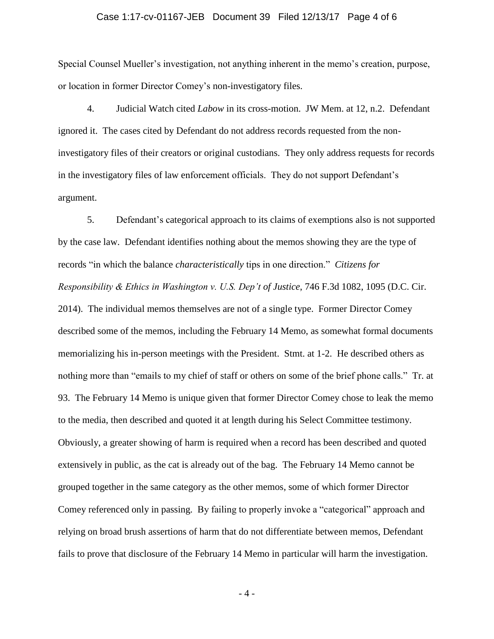### Case 1:17-cv-01167-JEB Document 39 Filed 12/13/17 Page 4 of 6

Special Counsel Mueller's investigation, not anything inherent in the memo's creation, purpose, or location in former Director Comey's non-investigatory files.

4. Judicial Watch cited *Labow* in its cross-motion. JW Mem. at 12, n.2. Defendant ignored it. The cases cited by Defendant do not address records requested from the noninvestigatory files of their creators or original custodians. They only address requests for records in the investigatory files of law enforcement officials. They do not support Defendant's argument.

5. Defendant's categorical approach to its claims of exemptions also is not supported by the case law. Defendant identifies nothing about the memos showing they are the type of records "in which the balance *characteristically* tips in one direction." *Citizens for Responsibility & Ethics in Washington v. U.S. Dep't of Justice*, 746 F.3d 1082, 1095 (D.C. Cir. 2014). The individual memos themselves are not of a single type. Former Director Comey described some of the memos, including the February 14 Memo, as somewhat formal documents memorializing his in-person meetings with the President. Stmt. at 1-2. He described others as nothing more than "emails to my chief of staff or others on some of the brief phone calls." Tr. at 93. The February 14 Memo is unique given that former Director Comey chose to leak the memo to the media, then described and quoted it at length during his Select Committee testimony. Obviously, a greater showing of harm is required when a record has been described and quoted extensively in public, as the cat is already out of the bag. The February 14 Memo cannot be grouped together in the same category as the other memos, some of which former Director Comey referenced only in passing. By failing to properly invoke a "categorical" approach and relying on broad brush assertions of harm that do not differentiate between memos, Defendant fails to prove that disclosure of the February 14 Memo in particular will harm the investigation.

- 4 -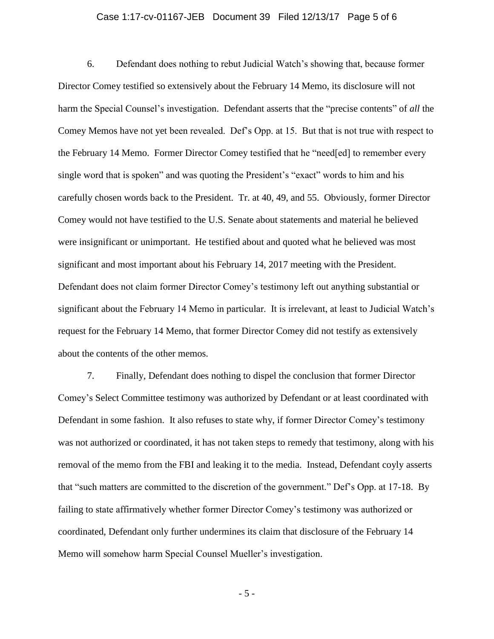### Case 1:17-cv-01167-JEB Document 39 Filed 12/13/17 Page 5 of 6

6. Defendant does nothing to rebut Judicial Watch's showing that, because former Director Comey testified so extensively about the February 14 Memo, its disclosure will not harm the Special Counsel's investigation. Defendant asserts that the "precise contents" of *all* the Comey Memos have not yet been revealed. Def's Opp. at 15. But that is not true with respect to the February 14 Memo. Former Director Comey testified that he "need[ed] to remember every single word that is spoken" and was quoting the President's "exact" words to him and his carefully chosen words back to the President. Tr. at 40, 49, and 55. Obviously, former Director Comey would not have testified to the U.S. Senate about statements and material he believed were insignificant or unimportant. He testified about and quoted what he believed was most significant and most important about his February 14, 2017 meeting with the President. Defendant does not claim former Director Comey's testimony left out anything substantial or significant about the February 14 Memo in particular. It is irrelevant, at least to Judicial Watch's request for the February 14 Memo, that former Director Comey did not testify as extensively about the contents of the other memos.

7. Finally, Defendant does nothing to dispel the conclusion that former Director Comey's Select Committee testimony was authorized by Defendant or at least coordinated with Defendant in some fashion. It also refuses to state why, if former Director Comey's testimony was not authorized or coordinated, it has not taken steps to remedy that testimony, along with his removal of the memo from the FBI and leaking it to the media. Instead, Defendant coyly asserts that "such matters are committed to the discretion of the government." Def's Opp. at 17-18. By failing to state affirmatively whether former Director Comey's testimony was authorized or coordinated, Defendant only further undermines its claim that disclosure of the February 14 Memo will somehow harm Special Counsel Mueller's investigation.

- 5 -